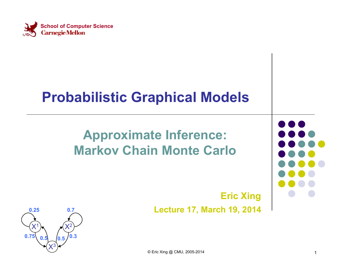

#### **Probabilistic Graphical Models**

#### **Approximate Inference: Markov Chain Monte Carlo**

#### **Eric Xing Lecture 17, March 19, 2014**

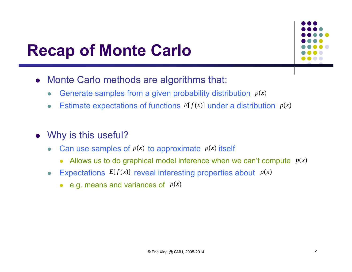#### **Recap of Monte Carlo**



- $\bullet$  Monte Carlo methods are algorithms that:
	- $\bullet$ Generate samples from a given probability distribution *p*(*x*)
	- $\bullet$ • Estimate expectations of functions  $E[f(x)]$  under a distribution  $p(x)$
- Why is this useful?
	- $\bullet$ • Can use samples of  $p(x)$  to approximate  $p(x)$  itself
		- $\bullet$ Allows us to do graphical model inference when we can't compute *p*(*x*)
	- $\bullet$ • Expectations  $E[f(x)]$  reveal interesting properties about  $p(x)$ 
		- $\bullet$  $\bullet$  e.g. means and variances of  $p(x)$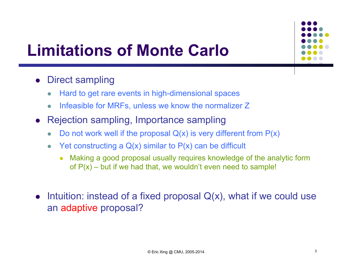

# **Limitations of Monte Carlo**

- $\bullet$  Direct sampling
	- $\bullet$ Hard to get rare events in high-dimensional spaces
	- $\bullet$ Infeasible for MRFs, unless we know the normalizer Z
- $\bullet$  Rejection sampling, Importance sampling
	- $\bullet$ Do not work well if the proposal  $Q(x)$  is very different from  $P(x)$
	- $\bullet$ Yet constructing a  $Q(x)$  similar to  $P(x)$  can be difficult
		- 0 Making a good proposal usually requires knowledge of the analytic form of  $P(x)$  – but if we had that, we wouldn't even need to sample!
- Intuition: instead of a fixed proposal  $Q(x)$ , what if we could use an adaptive proposal?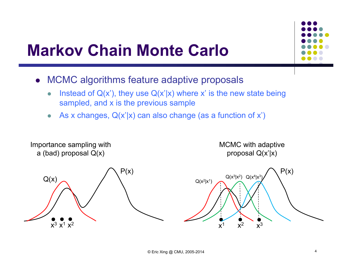

#### **Markov Chain Monte Carlo**

- MCMC algorithms feature adaptive proposals
	- $\bullet$ Instead of  $Q(x')$ , they use  $Q(x'|x)$  where x' is the new state being sampled, and x is the previous sample
	- $\bullet$ As x changes,  $Q(x'|x)$  can also change (as a function of x')

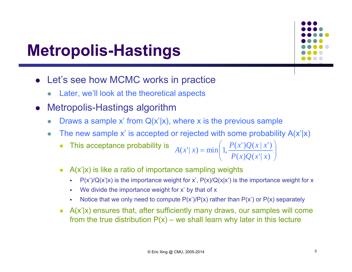## **Metropolis-Hastings**

- Let's see how MCMC works in practice
	- $\bullet$ Later, we'll look at the theoretical aspects
- $\bullet$  Metropolis-Hastings algorithm
	- $\bullet$ Draws a sample x' from  $Q(x'|x)$ , where x is the previous sample
	- $\bullet$ The new sample x' is accepted or rejected with some probability  $A(x'|x)$

• This acceptance probability is 
$$
A(x'|x) = min \left( 1, \frac{P(x')Q(x|x')}{P(x)Q(x'|x)} \right)
$$

- A(x'|x) is like a ratio of importance sampling weights
	- Ξ  $P(x')/Q(x'|x)$  is the importance weight for x',  $P(x)/Q(x|x')$  is the importance weight for x
	- ш We divide the importance weight for x' by that of x
	- п Notice that we only need to compute  $P(x')/P(x)$  rather than  $P(x')$  or  $P(x)$  separately
- A(x'|x) ensures that, after sufficiently many draws, our samples will come from the true distribution  $P(x)$  – we shall learn why later in this lecture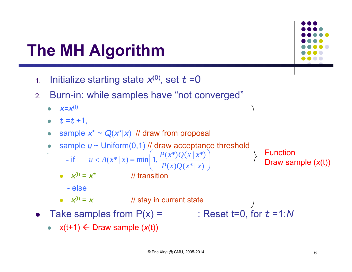- 1.. Initialize starting state  $x^{(0)}$ , set  $t = 0$
- 2. Burn-in: while samples have "not converged"
	- $\bullet$  $x=x^{(t)}$

۰

- $\bullet$   $t = t + 1$ ,
- 0 • sample  $x^* \sim Q(x^*|x)$  // draw from proposal
- 0 sample *u* ~ Uniform(0,1) // draw acceptance threshold

- if 
$$
u < A(x^* | x) = min \left( 1, \frac{P(x^*)Q(x | x^*)}{P(x)Q(x^* | x)} \right)
$$

- $x^{(t)} =$  $*W*$  transition
	- else
- $x^{(t)} = x$  // stay in current state
- $\bullet$ Take samples from  $P(x) =$

```
N
```
Function

Draw sample ( *<sup>x</sup>*(t))

 $\overline{\phantom{a}}$  $\overline{\phantom{a}}$  $\int$ 

•  $x(t+1) \leftarrow$  Draw sample  $(x(t))$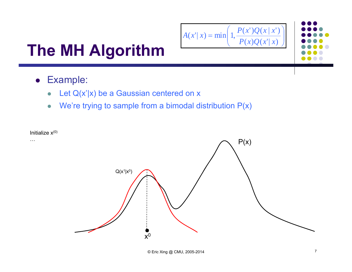

- Example:
	- $\bullet$ Let  $Q(x'|x)$  be a Gaussian centered on x
	- $\bullet$ We're trying to sample from a bimodal distribution  $P(x)$

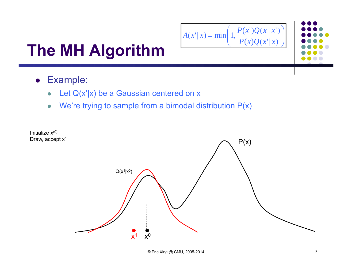

- Example:
	- $\bullet$ Let  $Q(x'|x)$  be a Gaussian centered on x
	- $\bullet$ We're trying to sample from a bimodal distribution  $P(x)$

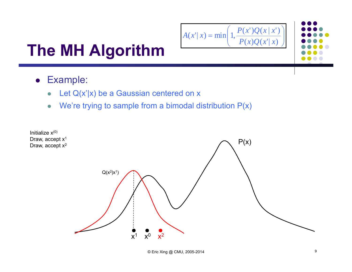

- Example:
	- $\bullet$ Let  $Q(x'|x)$  be a Gaussian centered on x
	- $\bullet$ We're trying to sample from a bimodal distribution  $P(x)$

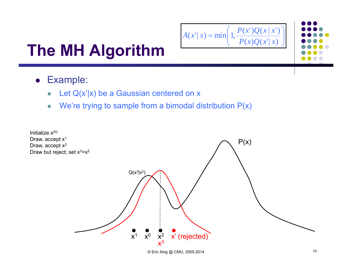$$
A(x' | x) = \min\left(1, \frac{P(x')Q(x | x')}{P(x)Q(x' | x)}\right)
$$

- Example:
	- $\bullet$ Let  $Q(x'|x)$  be a Gaussian centered on x
	- $\bullet$ We're trying to sample from a bimodal distribution  $P(x)$

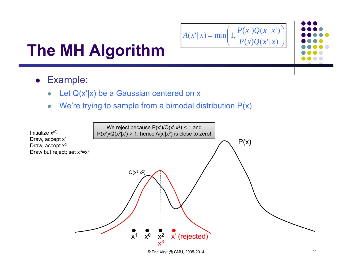$$
A(x' | x) = \min\left(1, \frac{P(x')Q(x | x')}{P(x)Q(x' | x)}\right)
$$

- Example:
	- $\bullet$ Let  $Q(x'|x)$  be a Gaussian centered on x
	- $\bullet$ We're trying to sample from a bimodal distribution  $P(x)$

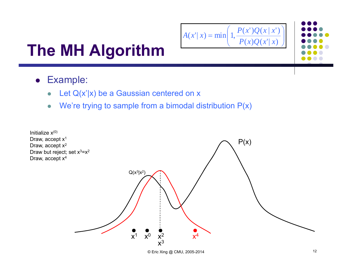$$
A(x' | x) = \min\left(1, \frac{P(x')Q(x | x')}{P(x)Q(x' | x)}\right)
$$

- Example:
	- $\bullet$ Let  $Q(x'|x)$  be a Gaussian centered on x
	- $\bullet$ We're trying to sample from a bimodal distribution  $P(x)$

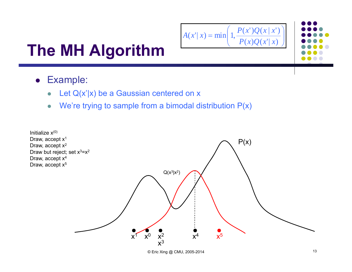$$
A(x' | x) = \min\left(1, \frac{P(x')Q(x | x')}{P(x)Q(x' | x)}\right)
$$

- Example:
	- $\bullet$ Let  $Q(x'|x)$  be a Gaussian centered on x
	- $\bullet$ We're trying to sample from a bimodal distribution  $P(x)$

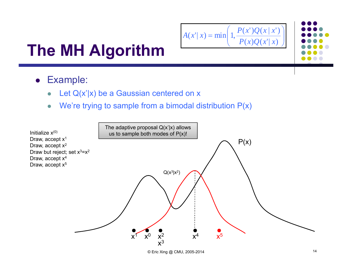$$
A(x' | x) = \min\left(1, \frac{P(x')Q(x | x')}{P(x)Q(x' | x)}\right)
$$

- Example:
	- $\bullet$ Let  $Q(x'|x)$  be a Gaussian centered on x
	- $\bullet$ We're trying to sample from a bimodal distribution  $P(x)$

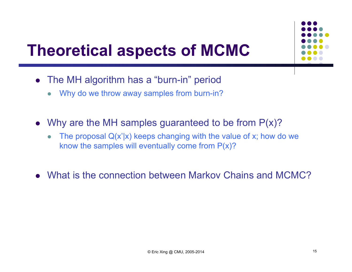#### **Theoretical aspects of MCMC**

- The MH algorithm has a "burn-in" period
	- $\bullet$ Why do we throw away samples from burn-in?
- Why are the MH samples guaranteed to be from  $P(x)$ ?
	- $\bullet$ The proposal  $Q(x'|x)$  keeps changing with the value of x; how do we know the samples will eventually come from  $P(x)$ ?
- What is the connection between Markov Chains and MCMC?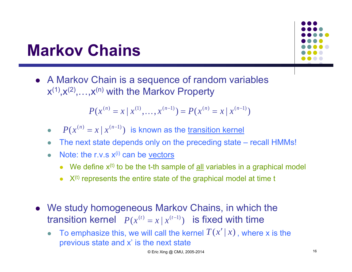#### **Markov Chains**

• A Markov Chain is a sequence of random variables  $x^{(1)},x^{(2)},...,x^{(n)}$  with the Markov Property

$$
P(x^{(n)} = x | x^{(1)},..., x^{(n-1)}) = P(x^{(n)} = x | x^{(n-1)})
$$

- $\bullet$ •  $P(x^{(n)} = x | x^{(n-1)})$  is known as the transition kernel
- $\bullet$ The next state depends only on the preceding state – recall HMMs!
- $\begin{array}{c} \bullet \\ \bullet \end{array}$ Note: the r.v.s  $x^{(i)}$  can be vectors
	- We define  $x^{(t)}$  to be the t-th sample of  $\underline{\text{all}}$  variables in a graphical model
	- $\bullet\;$   $X^{(t)}$  represents the entire state of the graphical model at time t
- We study homogeneous Markov Chains, in which the  $P(x^{(t)} = x | x^{(t-1)})$  is fixed with time
	- $\bullet$ • To emphasize this, we will call the kernel  $T(x' | x)$ , where x is the previous state and x' is the next state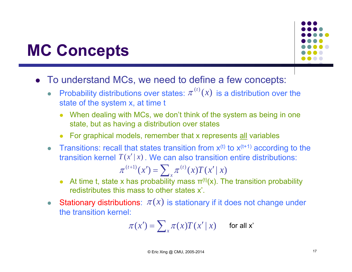#### **MC Concepts**

- To understand MCs, we need to define a few concepts:
	- $\bullet$ • Probability distributions over states:  $\pi^{(t)}(x)$  is a distribution over the state of the system x, at time t
		- When dealing with MCs, we don't think of the system as being in one state, but as having a distribution over states
		- For graphical models, remember that x represents all variables
	- $\bullet$ Transitions: recall that states transition from  $x^{(t)}$  to  $x^{(t+1)}$  according to the transition kernel  $T(x'|x)$  . We can also transition entire distributions:

$$
\pi^{(t+1)}(x') = \sum_{x} \pi^{(t)}(x) T(x' | x)
$$

- At time t, state x has probability mass  $\pi^{(t)}(x)$ . The transition probability redistributes this mass to other states x'.
- $\bullet$ • Stationary distributions:  $\pi(x)$  is stationary if it does not change under the transition kernel:

$$
\pi(x') = \sum_{x} \pi(x) T(x' | x) \quad \text{for all } x'
$$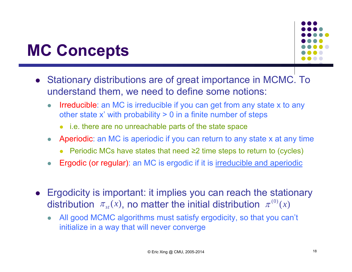#### **MC Concepts**



- Stationary distributions are of great importance in MCMC. To understand them, we need to define some notions:
	- $\bullet$  Irreducible: an MC is irreducible if you can get from any state x to any other state x' with probability > 0 in a finite number of steps
		- i.e. there are no unreachable parts of the state space
	- $\bullet$  Aperiodic: an MC is aperiodic if you can return to any state x at any time
		- $\bullet$ Periodic MCs have states that need ≥2 time steps to return to (cycles)
	- $\bullet$ Ergodic (or regular): an MC is ergodic if it is irreducible and aperiodic
- $\bullet$  Ergodicity is important: it implies you can reach the stationary distribution  $\pi_{_{st}}(x)$ , no matter the initial distribution  $\pi^{^{(0)}}(x)$ 
	- $\bullet$  All good MCMC algorithms must satisfy ergodicity, so that you can't initialize in a way that will never converge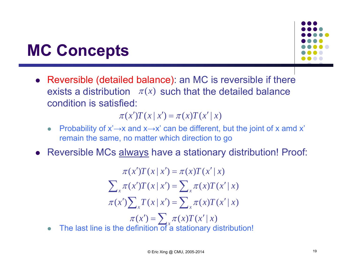### **MC Concepts**

 $\bullet$ 

 Reversible (detailed balance): an MC is reversible if there exists a distribution  $\pi(x)$  such that the detailed balance condition is satisfied:

 $\pi(x')T(x | x') = \pi(x)T(x' | x)$ 

- $\bullet$ Probability of  $x' \rightarrow x$  and  $x \rightarrow x'$  can be different, but the joint of x amd x' remain the same, no matter which direction to go
- Reversible MCs always have a stationary distribution! Proof:

• The last line is the definition of a stationary distribution!  $\left\langle \cdot \right\rangle =\sum \cdot$  $\sum_{x} T(x | x') = \sum_{x} T(x | x')$  $\sum_{x} \pi(x')T(x \mid x') = \sum_{x}$  $\rightarrow$   $=$ ſ  $\pi(x') = \sum \pi(x) T(x' | x)$ I  $x^2$   $(x + y)$   $\sum x^2$   $(x^2)$   $(x^2)$ I  $\mathbf{x}$   $(x, y) = (x + y)$   $\mathbf{y}$   $\mathbf{z}$   $\mathbf{y}$   $\mathbf{y}$   $\mathbf{y}$   $\mathbf{y}$   $\mathbf{y}$  $T(T(x | x') = \pi(x)T(x'))$  $\pi(x')T(x | x') = \pi(x)T(x' | x)$  $T(x|X')$   $T(x|x') = \sum \pi(x) T(x'|x)$  $\pi(x')T(x|x') = \sum \pi(x)T(x'|x)$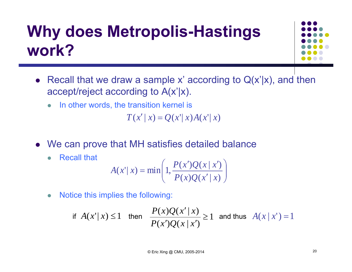# **Why does Metropolis-Hastings work?**



- Recall that we draw a sample x' according to  $Q(x'|x)$ , and then accept/reject according to A(x'|x).
	- $\bullet$ In other words, the transition kernel is

 $T(x' | x) = Q(x' | x) A(x' | x)$ 

- We can prove that MH satisfies detailed balance
	- $\bullet$ Recall that

$$
A(x' | x) = \min\left(1, \frac{P(x')Q(x | x')}{P(x)Q(x' | x)}\right)
$$

 $\bullet$ Notice this implies the following:

if 
$$
A(x'|x) \le 1
$$
 then 
$$
\frac{P(x)Q(x'|x)}{P(x')Q(x|x')} \ge 1
$$
 and thus  $A(x|x') = 1$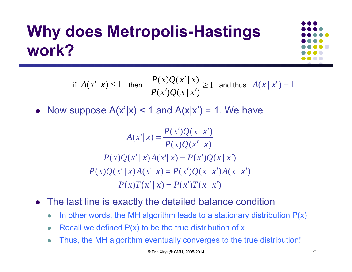# **Why does Metropolis-Hastings work?**



if 
$$
A(x'|x) \le 1
$$
 then 
$$
\frac{P(x)Q(x'|x)}{P(x')Q(x|x')} \ge 1
$$
 and thus  $A(x|x') = 1$ 

• Now suppose  $A(x'|x) < 1$  and  $A(x|x') = 1$ . We have

$$
A(x' | x) = \frac{P(x')Q(x | x')}{P(x)Q(x' | x)}
$$
  
\n
$$
P(x)Q(x' | x)A(x' | x) = P(x')Q(x | x')
$$
  
\n
$$
P(x)Q(x' | x)A(x' | x) = P(x')Q(x | x')A(x | x')
$$
  
\n
$$
P(x)T(x' | x) = P(x')T(x | x')
$$

- The last line is exactly the detailed balance condition
	- $\bullet$ In other words, the MH algorithm leads to a stationary distribution  $P(x)$
	- $\bullet$ Recall we defined  $P(x)$  to be the true distribution of x
	- $\bullet$ Thus, the MH algorithm eventually converges to the true distribution!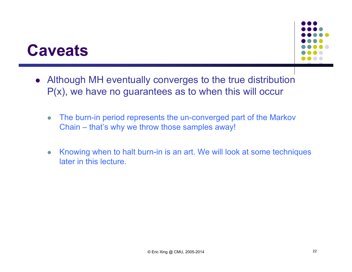#### **Caveats**

- Although MH eventually converges to the true distribution  $P(x)$ , we have no guarantees as to when this will occur
	- $\bullet$  The burn-in period represents the un-converged part of the Markov Chain – that's why we throw those samples away!
	- $\bullet$  Knowing when to halt burn-in is an art. We will look at some techniques later in this lecture.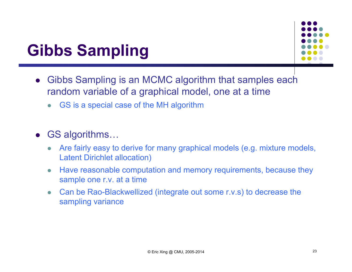### **Gibbs Sampling**



- $\bullet$  Gibbs Sampling is an MCMC algorithm that samples each random variable of a graphical model, one at a time
	- $\bullet$ GS is a special case of the MH algorithm

#### GS algorithms…

- 0 Are fairly easy to derive for many graphical models (e.g. mixture models, Latent Dirichlet allocation)
- $\bullet$  Have reasonable computation and memory requirements, because they sample one r.v. at a time
- $\bullet$  Can be Rao-Blackwellized (integrate out some r.v.s) to decrease the sampling variance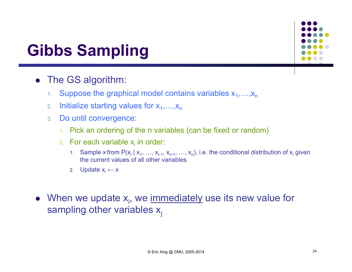

### **Gibbs Sampling**

- The GS algorithm:
	- 1.Suppose the graphical model contains variables  $x_1, \ldots, x_n$
	- 2.Initialize starting values for  $x_1,...,x_n$
	- 3. Do until convergence:
		- 1.Pick an ordering of the n variables (can be fixed or random)
		- 2. For each variable x<sub>i</sub> in order:
			- 1. Sample x from P(x<sub>i</sub> | x<sub>1</sub>, …, x<sub>i-1</sub>, x<sub>i+1</sub>, …, x<sub>n</sub>), i.e. the conditional distribution of x<sub>i</sub> given the current values of all other variables
			- 2. Update x<sub>i</sub> ← x
- When we update  $x_i$ , we immediately use its new value for sampling other variables  $x_i$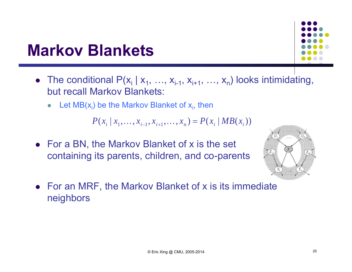#### **Markov Blankets**



- The conditional  $P(x_i | x_1, ..., x_{i-1}, x_{i+1}, ..., x_n)$  looks intimidating, but recall Markov Blankets:
	- $\bullet$ Let  $MB(x_i)$  be the Markov Blanket of  $x_i$ , then

$$
P(x_i | x_1, \ldots, x_{i-1}, x_{i+1}, \ldots, x_n) = P(x_i | MB(x_i))
$$

• For a BN, the Markov Blanket of x is the set containing its parents, children, and co-parents



• For an MRF, the Markov Blanket of x is its immediate neighbors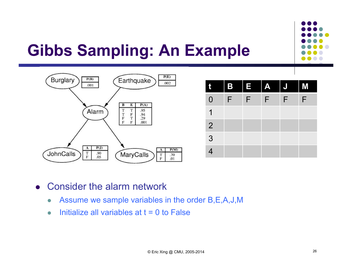



| t              | B<br>║ | E                        | $\mathbf{A}$<br>I | $\overline{\mathsf{J}}$ | M |
|----------------|--------|--------------------------|-------------------|-------------------------|---|
| $\Omega$       | F      | $\ddot{\mathbf{\Theta}}$ | F                 | F                       | F |
|                |        |                          |                   |                         |   |
| $\overline{2}$ |        |                          |                   |                         |   |
| $\mathfrak{Z}$ |        |                          |                   |                         |   |
| 4              |        |                          |                   |                         |   |

 $\bullet$ Consider the alarm network

- $\bullet$ Assume we sample variables in the order B,E,A,J,M
- $\bullet$ Initialize all variables at  $t = 0$  to False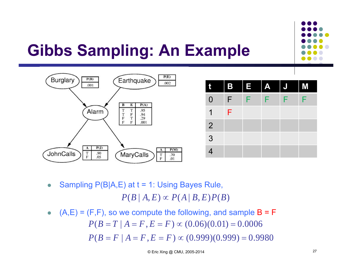



| t              | B | I E T | I<br>$\overline{A}$ | $\overline{\mathsf{J}}$ | I<br>M |
|----------------|---|-------|---------------------|-------------------------|--------|
| $\overline{0}$ | F | F     | F                   | F                       | F      |
| 1              | F |       |                     |                         |        |
| $\overline{2}$ |   |       |                     |                         |        |
| 3              |   |       |                     |                         |        |
| $\overline{4}$ |   |       |                     |                         |        |

 $\bullet$ Sampling P(B|A,E) at t = 1: Using Bayes Rule,

 $P(B | A, E) \propto P(A | B, E) P(B)$ 

 $\bullet$  $(A, E) = (F, F)$ , so we compute the following, and sample  $B = F$  $P(B = F | A = F, E = F) \propto (0.999)(0.999) = 0.9980$  $P(B = T | A = F, E = F) \propto (0.06)(0.01) = 0.0006$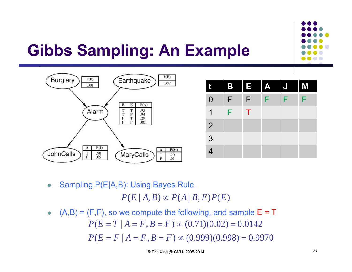



| Û              | I | B E | I<br>A | $\overline{\mathsf{J}}$ | M |
|----------------|---|-----|--------|-------------------------|---|
| $\overline{0}$ | F | F   | F      | F                       | F |
|                | F | т   |        |                         |   |
| $\overline{2}$ |   |     |        |                         |   |
| 3              |   |     |        |                         |   |
| 4              |   |     |        |                         |   |

 $\bullet$ Sampling P(E|A,B): Using Bayes Rule,

 $P(E | A, B) \propto P(A | B, E) P(E)$ 

 $\bullet$  $(A,B) = (F,F)$ , so we compute the following, and sample  $E = T$  $P(E = F | A = F, B = F) \propto (0.999)(0.998) = 0.9970$  $P(E = T | A = F, B = F) \propto (0.71)(0.02) = 0.0142$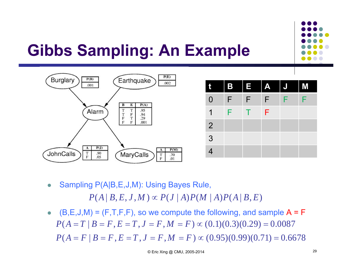



| t              |   | B E | $\overline{A}$ | $\overline{\mathsf{J}}$ | $\blacksquare$ |
|----------------|---|-----|----------------|-------------------------|----------------|
| $\overline{0}$ | F | F   | F              | F                       | F              |
| 1              | F |     | F              |                         |                |
| $\overline{2}$ |   |     |                |                         |                |
| 3              |   |     |                |                         |                |
| 4              |   |     |                |                         |                |

 $\bullet$ Sampling P(A|B,E,J,M): Using Bayes Rule,

 $P(A | B, E, J, M) \propto P(J | A) P(M | A) P(A | B, E)$ 

 $\bullet$  (B,E,J,M) = (F,T,F,F), so we compute the following, and sample  $A = F$  $P(A = F | B = F, E = T, J = F, M = F) \propto (0.95)(0.99)(0.71) = 0.6678$  $P(A = T | B = F, E = T, J = F, M = F) \propto (0.1)(0.3)(0.29) = 0.0087$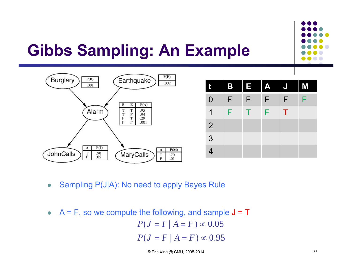



| t              | <b>B</b> | I E | $\mathbf{A}$ | $\overline{\mathsf{J}}$ | M |
|----------------|----------|-----|--------------|-------------------------|---|
| $\overline{0}$ | F        | F   | F            | F                       | F |
| 1              | F        |     | F            | Т                       |   |
| $\overline{2}$ |          |     |              |                         |   |
| 3              |          |     |              |                         |   |
| 4              |          |     |              |                         |   |

- $\bullet$ Sampling P(J|A): No need to apply Bayes Rule
- $\triangleright$  A = F, so we compute the following, and sample J = T  $P(J=F\,|\, A=F)\propto 0.95$  $P(J = T \mid A = F) \propto 0.05$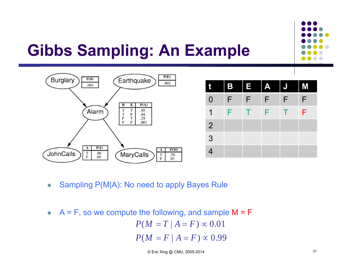



| t              | B | I E I | A | $\overline{\mathsf{J}}$ | M<br>I |
|----------------|---|-------|---|-------------------------|--------|
| $\overline{0}$ | F | F     | F | F                       | F      |
| 1              | F | т     | F |                         | F      |
| $\overline{2}$ |   |       |   |                         |        |
| 3              |   |       |   |                         |        |
| 4              |   |       |   |                         |        |

- $\bullet$ Sampling P(M|A): No need to apply Bayes Rule
- $\bullet$  $A = F$ , so we compute the following, and sample  $M = F$  $P(M = F | A = F) \propto 0.99$  $P(M=T\,|\, A=F)\,{\propto}\,0.01$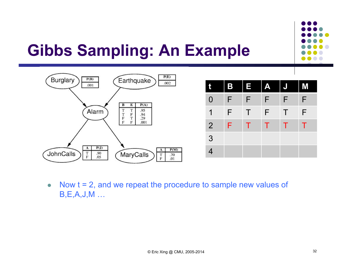



| t              | <b>B</b>           | II<br>TET | $\mathbf{A}$<br>║ | $\overline{\mathsf{J}}$ | I<br>M |
|----------------|--------------------|-----------|-------------------|-------------------------|--------|
| $\overline{0}$ | $\hat{\bm{\tau}}$  | F         | F                 | F                       | F      |
| 1              | $\hat{\mathbf{F}}$ | Τ         | F                 | Τ                       | F      |
| $\overline{2}$ | F.                 | т         | т                 | т                       | т      |
| 3              |                    |           |                   |                         |        |
| 4              |                    |           |                   |                         |        |

 $\bullet$  Now t = 2, and we repeat the procedure to sample new values of B,E,A,J,M …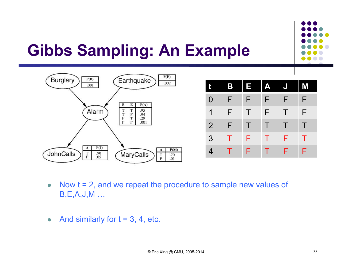



| t                        | B | E<br>I | $\mathbf{A}$ | $\overline{\mathsf{J}}$ | M |
|--------------------------|---|--------|--------------|-------------------------|---|
| $\overline{0}$           | F | F      | F            | F                       | F |
| 1                        | F | Τ      | F            | Τ                       | F |
| $\overline{2}$           | F | Τ      | T            | $\top$                  | Τ |
| $\overline{3}$           | т | F      | т            | F                       | т |
| $\overline{\mathcal{A}}$ |   | F      | T            | F                       | F |

- $\bullet$  Now t = 2, and we repeat the procedure to sample new values of B,E,A,J,M …
- $\bullet$ And similarly for  $t = 3, 4$ , etc.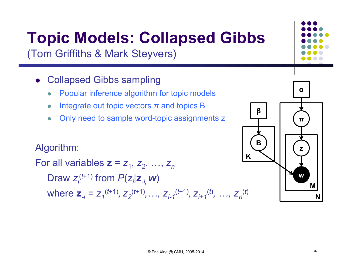# **Topic Models: Collapsed Gibbs**

(Tom Griffiths & Mark Steyvers)

- Collapsed Gibbs sampling
	- $\bullet$ Popular inference algorithm for topic models
	- $\bullet$ Integrate out topic vectors *<sup>π</sup>* and topics B
	- $\bullet$ Only need to sample word-topic assignments z

#### Algorithm:

For all variables **z** <sup>=</sup>*z*1, *z*2, …, *zn*Draw  $z_i^{(t+1)}$  from  $P(z_i|\mathbf{z}_i, \mathbf{w})$ where  $\mathbf{z}_{-i} = z_1^{(t+1)}, z_2^{(t+1)},..., z_{i-1}^{(t+1)}, z_{i+1}^{(t)}, ..., z_n^{(t)}$ 

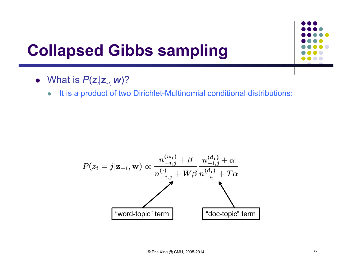

# **Collapsed Gibbs sampling**

- What is *P* ( *zi|***<sup>z</sup>***-i, <sup>w</sup>*)?
	- $\bullet$ It is a product of two Dirichlet-Multinomial conditional distributions:

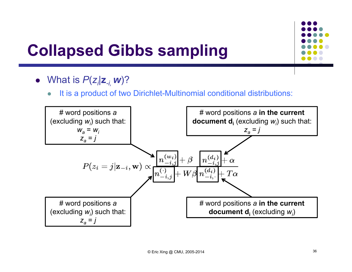

# **Collapsed Gibbs sampling**

- What is *P* ( *zi|***<sup>z</sup>***-i, <sup>w</sup>*)?
	- $\bullet$ It is a product of two Dirichlet-Multinomial conditional distributions:

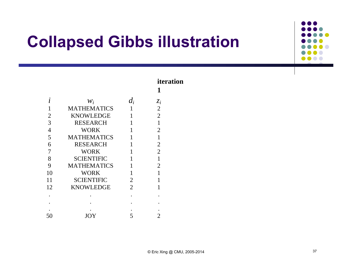

|                |                    |                | iteration<br>1 |
|----------------|--------------------|----------------|----------------|
| 1              | $W_i$              | $d_i$          | $z_i$          |
|                | <b>MATHEMATICS</b> | 1              | $\overline{2}$ |
| $\overline{2}$ | <b>KNOWLEDGE</b>   | 1              | $\overline{2}$ |
| 3              | <b>RESEARCH</b>    | 1              | 1              |
| $\overline{4}$ | <b>WORK</b>        | 1              | 2              |
| 5              | <b>MATHEMATICS</b> | 1              | 1              |
| 6              | <b>RESEARCH</b>    | 1              | $\overline{2}$ |
| 7              | <b>WORK</b>        | 1              | $\overline{2}$ |
| 8              | <b>SCIENTIFIC</b>  | 1              | 1              |
| 9              | <b>MATHEMATICS</b> |                | 2              |
| 10             | <b>WORK</b>        | 1              |                |
| 11             | <b>SCIENTIFIC</b>  | $\overline{2}$ | 1              |
| 12             | <b>KNOWLEDGE</b>   | $\overline{2}$ |                |
|                |                    |                |                |
|                |                    |                |                |
|                |                    |                |                |
| 50             | JOY                | 5              |                |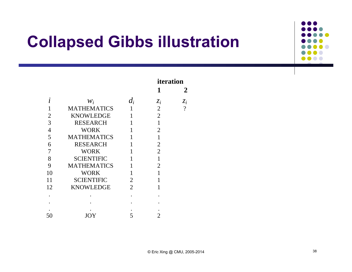

|                |                    |                | iteration      |                          |
|----------------|--------------------|----------------|----------------|--------------------------|
|                |                    |                | 1              | $\mathbf{Z}$             |
|                | $W_i$              | $d_i$          | $z_i$          | $z_i$                    |
|                | <b>MATHEMATICS</b> | 1              | $\overline{2}$ | $\overline{\mathcal{L}}$ |
| 2              | <b>KNOWLEDGE</b>   | 1              | $\overline{2}$ |                          |
| 3              | <b>RESEARCH</b>    |                | 1              |                          |
| $\overline{4}$ | WORK               |                | $\overline{2}$ |                          |
| 5              | <b>MATHEMATICS</b> |                |                |                          |
| 6              | <b>RESEARCH</b>    |                | $\overline{2}$ |                          |
| 7              | <b>WORK</b>        | 1              | $\overline{2}$ |                          |
| 8              | <b>SCIENTIFIC</b>  | 1              | 1              |                          |
| 9              | <b>MATHEMATICS</b> |                | 2              |                          |
| 10             | <b>WORK</b>        |                |                |                          |
| 11             | <b>SCIENTIFIC</b>  | $\overline{2}$ |                |                          |
| 12             | <b>KNOWLEDGE</b>   | $\overline{2}$ |                |                          |
|                |                    |                |                |                          |
|                |                    |                |                |                          |
|                |                    |                |                |                          |
| 50             | JOY                | 5              |                |                          |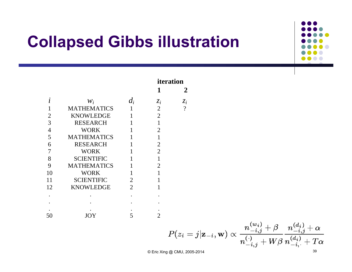

|                |                    |                | iteration<br>2 |                       |  |
|----------------|--------------------|----------------|----------------|-----------------------|--|
|                | $W_i$              | $d_i$          | $z_i$          | $\mathcal{Z}_{\bm i}$ |  |
|                | <b>MATHEMATICS</b> |                | $\overline{2}$ | $\gamma$              |  |
| 2              | <b>KNOWLEDGE</b>   | 1              | $\overline{2}$ |                       |  |
| 3              | <b>RESEARCH</b>    | 1              | 1              |                       |  |
| $\overline{4}$ | <b>WORK</b>        | 1              | 2              |                       |  |
| 5              | <b>MATHEMATICS</b> | $\mathbf{1}$   | 1              |                       |  |
| 6              | <b>RESEARCH</b>    | 1              | $\overline{2}$ |                       |  |
| 7              | <b>WORK</b>        |                | $\overline{2}$ |                       |  |
| 8              | <b>SCIENTIFIC</b>  | 1              | 1              |                       |  |
| 9              | <b>MATHEMATICS</b> |                | $\overline{2}$ |                       |  |
| 10             | <b>WORK</b>        | 1              | 1              |                       |  |
| 11             | <b>SCIENTIFIC</b>  | $\overline{2}$ | 1              |                       |  |
| 12             | <b>KNOWLEDGE</b>   | $\overline{2}$ | 1              |                       |  |
|                |                    |                |                |                       |  |
|                |                    |                |                |                       |  |
|                |                    |                |                |                       |  |
| 50             | IOY                | 5              |                |                       |  |

$$
P(z_i=j|\mathbf{z}_{-i},\mathbf{w}) \propto \frac{n_{-i,j}^{(w_i)} + \beta}{n_{-i,j}^{(\cdot)} + W\beta} \frac{n_{-i,j}^{(d_i)} + \alpha}{n_{-i,j}^{(d_i)} + T\alpha}
$$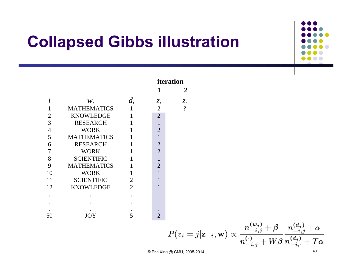

|                |                    |                |                | iteration      |
|----------------|--------------------|----------------|----------------|----------------|
|                |                    |                | 1              | 2              |
|                | $W_i$              | $d_i$          | $z_i$          | $z_i$          |
|                | <b>MATHEMATICS</b> | 1              | $\overline{2}$ | $\overline{?}$ |
| 2              | <b>KNOWLEDGE</b>   | 1              | $\overline{2}$ |                |
| 3              | <b>RESEARCH</b>    |                | 1              |                |
| $\overline{4}$ | <b>WORK</b>        |                | $\overline{2}$ |                |
| 5              | <b>MATHEMATICS</b> |                |                |                |
| 6              | <b>RESEARCH</b>    |                | $\overline{2}$ |                |
| 7              | <b>WORK</b>        |                | $\overline{2}$ |                |
| 8              | <b>SCIENTIFIC</b>  |                | $\mathbf{1}$   |                |
| 9              | <b>MATHEMATICS</b> |                | $\overline{2}$ |                |
| 10             | <b>WORK</b>        |                | $\mathbf{1}$   |                |
| 11             | <b>SCIENTIFIC</b>  | 2              |                |                |
| 12             | <b>KNOWLEDGE</b>   | $\overline{2}$ | 1              |                |
|                |                    |                |                |                |
|                |                    |                |                |                |
|                |                    |                |                |                |
| 50             | JOY                | 5              | 2              |                |

$$
P(z_i=j|\mathbf{z}_{-i},\mathbf{w}) \propto \frac{n_{-i,j}^{(w_i)} + \beta}{n_{-i,j}^{(\cdot)} + W\beta} \frac{n_{-i,j}^{(d_i)} + \alpha}{n_{-i,j}^{(d_i)} + T\alpha}
$$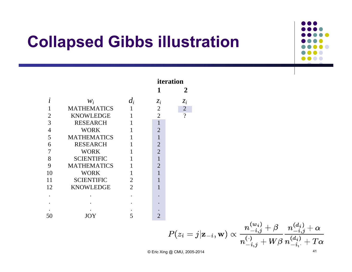

|                |                    |                | iteration      |                |  |
|----------------|--------------------|----------------|----------------|----------------|--|
|                |                    |                | 1              | 2              |  |
|                | $W_i$              | $d_i$          | $z_i$          | $z_i$          |  |
|                | <b>MATHEMATICS</b> |                | $\overline{2}$ | $\overline{2}$ |  |
| 2              | <b>KNOWLEDGE</b>   |                | $\overline{2}$ | $\gamma$       |  |
| 3              | <b>RESEARCH</b>    |                | 1              |                |  |
| $\overline{4}$ | <b>WORK</b>        |                | $\overline{2}$ |                |  |
| 5              | <b>MATHEMATICS</b> | $\mathbf{1}$   |                |                |  |
| 6              | <b>RESEARCH</b>    |                | $\overline{2}$ |                |  |
| 7              | <b>WORK</b>        |                | $\overline{2}$ |                |  |
| 8              | <b>SCIENTIFIC</b>  |                |                |                |  |
| 9              | <b>MATHEMATICS</b> |                | 2              |                |  |
| 10             | <b>WORK</b>        |                |                |                |  |
| 11             | <b>SCIENTIFIC</b>  | $\overline{2}$ |                |                |  |
| 12             | <b>KNOWLEDGE</b>   | $\overline{2}$ |                |                |  |
|                |                    |                |                |                |  |
|                |                    |                |                |                |  |
|                |                    |                |                |                |  |
| 50             | JO Y               | 5              | $\overline{2}$ |                |  |

$$
P(z_i=j|\mathbf{z}_{-i},\mathbf{w}) \propto \frac{n_{-i,j}^{(w_i)} + \beta}{n_{-i,j}^{(\cdot)} + W\beta} \frac{n_{-i,j}^{(d_i)} + \alpha}{n_{-i,j}^{(d_i)} + T\alpha}
$$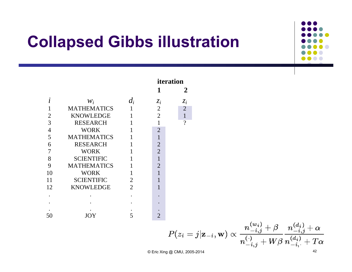

|                |                    |                | iteration      |                |
|----------------|--------------------|----------------|----------------|----------------|
|                |                    |                | 1              |                |
|                | $W_i$              | $d_i$          | $z_i$          | $z_i$          |
|                | <b>MATHEMATICS</b> | 1              | $\overline{2}$ | $\overline{2}$ |
| 2              | <b>KNOWLEDGE</b>   | 1              | $\overline{2}$ | $\mathbf{1}$   |
| 3              | <b>RESEARCH</b>    |                | 1              | $\gamma$       |
| $\overline{4}$ | <b>WORK</b>        |                | $\overline{2}$ |                |
| 5              | <b>MATHEMATICS</b> |                | 1              |                |
| 6              | <b>RESEARCH</b>    | 1              | $\overline{2}$ |                |
| 7              | <b>WORK</b>        |                | $\overline{2}$ |                |
| 8              | <b>SCIENTIFIC</b>  | 1              | $\mathbf{1}$   |                |
| 9              | <b>MATHEMATICS</b> |                | $\overline{2}$ |                |
| 10             | <b>WORK</b>        | 1              | 1              |                |
| 11             | <b>SCIENTIFIC</b>  | $\overline{2}$ | 1              |                |
| 12             | <b>KNOWLEDGE</b>   | $\overline{2}$ | 1              |                |
|                |                    |                |                |                |
|                |                    |                |                |                |
|                |                    |                |                |                |
| 50             | JOY                |                |                |                |

$$
P(z_i=j|\mathbf{z}_{-i},\mathbf{w}) \propto \frac{n_{-i,j}^{(w_i)} + \beta}{n_{-i,j}^{(\cdot)} + W\beta} \frac{n_{-i,j}^{(d_i)} + \alpha}{n_{-i,j}^{(d_i)} + T\alpha}
$$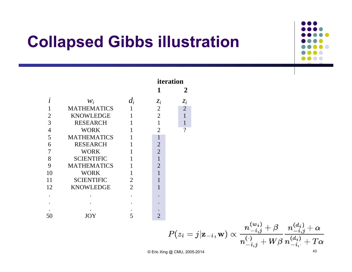

|                |                    |                | iteration      |                |
|----------------|--------------------|----------------|----------------|----------------|
|                |                    |                | 1              | $\mathbf{z}$   |
|                | $W_i$              | $d_i$          | $z_i$          | $z_i$          |
|                | <b>MATHEMATICS</b> | 1              | $\overline{2}$ | $\overline{2}$ |
| 2              | <b>KNOWLEDGE</b>   | 1              | $\overline{2}$ |                |
| 3              | <b>RESEARCH</b>    |                | 1              |                |
| $\overline{4}$ | <b>WORK</b>        | 1              | $\overline{2}$ | $\gamma$       |
| 5              | <b>MATHEMATICS</b> | 1              | 1              |                |
| 6              | <b>RESEARCH</b>    | 1              | $\overline{2}$ |                |
| 7              | <b>WORK</b>        |                | $\overline{2}$ |                |
| 8              | <b>SCIENTIFIC</b>  |                | 1              |                |
| 9              | <b>MATHEMATICS</b> | 1              | $\overline{2}$ |                |
| 10             | <b>WORK</b>        | 1              |                |                |
| 11             | <b>SCIENTIFIC</b>  | $\overline{2}$ |                |                |
| 12             | <b>KNOWLEDGE</b>   | $\overline{2}$ |                |                |
|                |                    |                |                |                |
|                |                    |                |                |                |
|                |                    |                |                |                |
| 50             | JOY                |                | 2              |                |

$$
P(z_i=j|\mathbf{z}_{-i},\mathbf{w}) \propto \frac{n_{-i,j}^{(w_i)} + \beta}{n_{-i,j}^{(\cdot)} + W\beta} \frac{n_{-i,j}^{(d_i)} + \alpha}{n_{-i,j}^{(d_i)} + T\alpha}
$$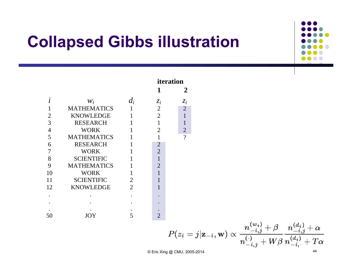

|                |                    |                | iteration      |                |  |
|----------------|--------------------|----------------|----------------|----------------|--|
|                |                    |                | 1              | 2              |  |
| L              | $W_i$              | $d_i$          | $z_i$          | $z_i$          |  |
|                | <b>MATHEMATICS</b> | 1              | $\overline{2}$ | $\overline{2}$ |  |
| 2              | <b>KNOWLEDGE</b>   | $\mathbf{1}$   | $\overline{2}$ |                |  |
| 3              | <b>RESEARCH</b>    | 1              | $\mathbf{1}$   |                |  |
| $\overline{4}$ | <b>WORK</b>        | 1              | $\overline{2}$ | $\overline{2}$ |  |
| 5              | <b>MATHEMATICS</b> | 1              | $\mathbf{1}$   | $\gamma$       |  |
| 6              | <b>RESEARCH</b>    | 1              | $\overline{2}$ |                |  |
| 7              | <b>WORK</b>        | $\mathbf{1}$   | $\overline{2}$ |                |  |
| 8              | <b>SCIENTIFIC</b>  | 1              | 1              |                |  |
| 9              | <b>MATHEMATICS</b> | 1              | $\overline{2}$ |                |  |
| 10             | <b>WORK</b>        | 1              | 1              |                |  |
| 11             | <b>SCIENTIFIC</b>  | $\overline{2}$ | 1              |                |  |
| 12             | <b>KNOWLEDGE</b>   | $\overline{2}$ | 1              |                |  |
|                |                    |                |                |                |  |
|                |                    |                |                |                |  |
|                |                    |                |                |                |  |
| 50             |                    | 5              | 2              |                |  |

$$
P(z_i=j|\mathbf{z}_{-i},\mathbf{w}) \propto \frac{n_{-i,j}^{(w_i)} + \beta}{n_{-i,j}^{(\cdot)} + W\beta} \frac{n_{-i,j}^{(d_i)} + \alpha}{n_{-i,j}^{(d_i)} + T\alpha}
$$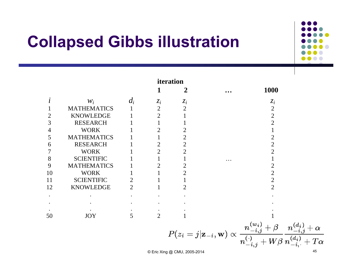

|                |                    |       |                | iteration      |                                                                                |                                                                                                       |            |
|----------------|--------------------|-------|----------------|----------------|--------------------------------------------------------------------------------|-------------------------------------------------------------------------------------------------------|------------|
|                |                    |       | 1              | 2              | $\cdots$                                                                       | 1000                                                                                                  |            |
| $\iota$        | $W_i$              | $d_i$ | $z_i$          | $z_i$          |                                                                                | $z_i$                                                                                                 |            |
|                | <b>MATHEMATICS</b> |       | $\overline{2}$ | $\overline{2}$ |                                                                                | $\overline{2}$                                                                                        |            |
| $\overline{2}$ | <b>KNOWLEDGE</b>   |       | $\overline{2}$ |                |                                                                                | $\overline{2}$                                                                                        |            |
| 3              | <b>RESEARCH</b>    |       |                |                |                                                                                | $\overline{2}$                                                                                        |            |
| $\overline{4}$ | <b>WORK</b>        |       | 2              | 2              |                                                                                |                                                                                                       |            |
| 5              | <b>MATHEMATICS</b> |       |                | $\overline{2}$ |                                                                                | 2                                                                                                     |            |
| 6              | <b>RESEARCH</b>    |       | $\overline{2}$ | $\overline{2}$ |                                                                                | $\overline{2}$                                                                                        |            |
| 7              | <b>WORK</b>        |       | $\overline{2}$ | $\overline{2}$ |                                                                                | $\overline{2}$                                                                                        |            |
| 8              | <b>SCIENTIFIC</b>  |       |                |                | $\cdots$                                                                       |                                                                                                       |            |
| 9              | <b>MATHEMATICS</b> |       | 2              | 2              |                                                                                | 2                                                                                                     |            |
| 10             | <b>WORK</b>        |       |                | 2              |                                                                                | $\overline{2}$                                                                                        |            |
| 11             | <b>SCIENTIFIC</b>  |       |                |                |                                                                                | $\overline{2}$                                                                                        |            |
| 12             | <b>KNOWLEDGE</b>   | 2     |                | 2              |                                                                                | $\overline{2}$                                                                                        |            |
| $\bullet$      |                    |       |                |                |                                                                                |                                                                                                       |            |
|                |                    |       |                |                |                                                                                |                                                                                                       |            |
|                |                    |       |                |                |                                                                                |                                                                                                       |            |
| 50             | <b>JOY</b>         | 5     | $\overline{2}$ |                |                                                                                |                                                                                                       |            |
|                |                    |       |                |                | $P(z_i = j   \mathbf{z}_{-i}, \mathbf{w}) \propto \frac{n_{-i,j}^{(w_i)}}{n!}$ |                                                                                                       |            |
|                |                    |       |                |                |                                                                                | $\frac{n_{-i,j} + \beta}{n_{-i,j}^{(\cdot)} + W\beta}\frac{n_{-i,j}^{(d_i)}}{n_{-i}^{(d_i)} + \beta}$ | $+T\alpha$ |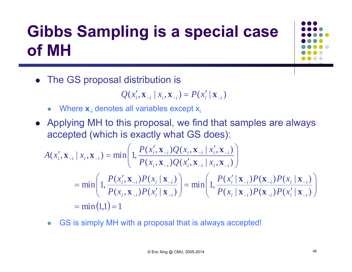# **Gibbs Sampling is a special case of MH**

The GS proposal distribution is

$$
Q(x'_{i}, \mathbf{x}_{-i} | x_{i}, \mathbf{x}_{-i}) = P(x'_{i} | \mathbf{x}_{-i})
$$

- $\bullet$ • Where **x**<sub>-i</sub> denotes all variables except x<sub>i</sub>
- Applying MH to this proposal, we find that samples are always accepted (which is exactly what GS does):

$$
A(x'_{i}, \mathbf{x}_{-i} | x_{i}, \mathbf{x}_{-i}) = \min \left( 1, \frac{P(x'_{i}, \mathbf{x}_{-i})Q(x_{i}, \mathbf{x}_{-i} | x'_{i}, \mathbf{x}_{-i})}{P(x_{i}, \mathbf{x}_{-i})Q(x'_{i}, \mathbf{x}_{-i} | x_{i}, \mathbf{x}_{-i})} \right)
$$
  
= 
$$
\min \left( 1, \frac{P(x'_{i}, \mathbf{x}_{-i})P(x_{i} | \mathbf{x}_{-i})}{P(x_{i}, \mathbf{x}_{-i})P(x'_{i} | \mathbf{x}_{-i})} \right) = \min \left( 1, \frac{P(x'_{i} | \mathbf{x}_{-i})P(x_{-i})P(x_{i} | \mathbf{x}_{-i})}{P(x_{i} | \mathbf{x}_{-i})P(x'_{i} | \mathbf{x}_{-i})} \right)
$$
  
= 
$$
\min (1,1) = 1
$$

 $\bullet$ GS is simply MH with a proposal that is always accepted!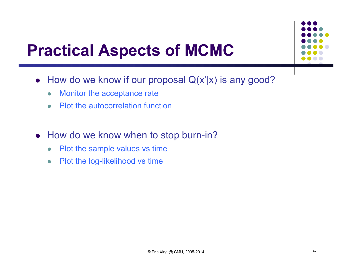#### **Practical Aspects of MCMC**

- How do we know if our proposal Q(x'|x) is any good?
	- $\bullet$ Monitor the acceptance rate
	- $\bullet$ Plot the autocorrelation function
- How do we know when to stop burn-in?
	- $\bullet$ Plot the sample values vs time
	- $\bullet$ Plot the log-likelihood vs time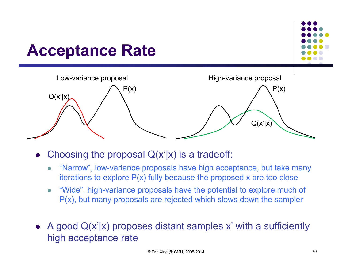

- $\bullet$ Choosing the proposal  $Q(x'|x)$  is a tradeoff:
	- $\bullet$  "Narrow", low-variance proposals have high acceptance, but take many iterations to explore P(x) fully because the proposed x are too close
	- $\bullet$  "Wide", high-variance proposals have the potential to explore much of P(x), but many proposals are rejected which slows down the sampler
- A good  $Q(x'|x)$  proposes distant samples x' with a sufficiently high acceptance rate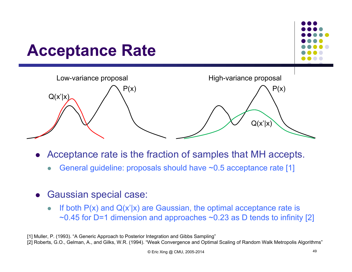

- $\bullet$  Acceptance rate is the fraction of samples that MH accepts.
	- $\bullet$ General guideline: proposals should have ~0.5 acceptance rate [1]
- $\bullet$  Gaussian special case:
	- $\bullet$ If both  $P(x)$  and  $Q(x'|x)$  are Gaussian, the optimal acceptance rate is  $\sim$ 0.45 for D=1 dimension and approaches  $\sim$ 0.23 as D tends to infinity [2]

[1] Muller, P. (1993). "A Generic Approach to Posterior Integration and Gibbs Sampling" [2] Roberts, G.O., Gelman, A., and Gilks, W.R. (1994). "Weak Convergence and Optimal Scaling of Random Walk Metropolis Algorithms"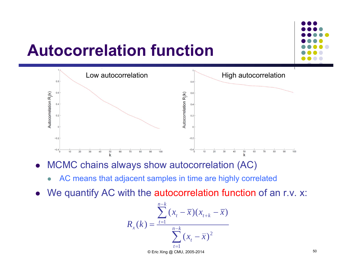

### **Autocorrelation function**



- $\bullet$  MCMC chains always show autocorrelation (AC)
	- $\bullet$ AC means that adjacent samples in time are highly correlated
- $\bullet$ We quantify AC with the autocorrelation function of an r.v. x:

$$
R_{x}(k) = \frac{\sum_{t=1}^{n-k} (x_{t} - \overline{x})(x_{t+k} - \overline{x})}{\sum_{t=1}^{n-k} (x_{t} - \overline{x})^{2}}
$$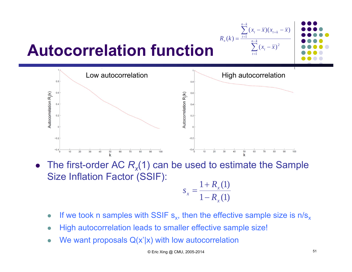![](_page_50_Figure_0.jpeg)

#### **Autocorrelation function**

![](_page_50_Figure_2.jpeg)

• The first-order AC  $R<sub>x</sub>(1)$  can be used to estimate the Sample Size Inflation Factor (SSIF):

$$
s_x = \frac{1 + R_x(1)}{1 - R_x(1)}
$$

- $\bullet$ • If we took n samples with SSIF  $s_{x}$ , then the effective sample size is n/s<sub>x</sub>
- $\bullet$ High autocorrelation leads to smaller effective sample size!
- $\bullet$ We want proposals  $Q(x'|x)$  with low autocorrelation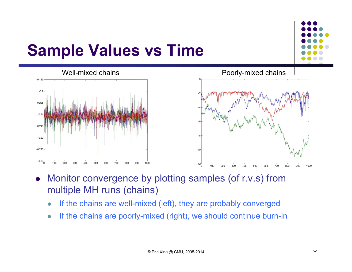![](_page_51_Figure_0.jpeg)

#### **Sample Values vs Time**

![](_page_51_Figure_2.jpeg)

![](_page_51_Figure_3.jpeg)

- $\bullet$  Monitor convergence by plotting samples (of r.v.s) from multiple MH runs (chains)
	- $\bullet$ If the chains are well-mixed (left), they are probably converged
	- $\bullet$ If the chains are poorly-mixed (right), we should continue burn-in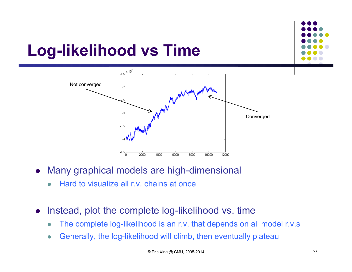# **Log-likelihood vs Time**

![](_page_52_Figure_1.jpeg)

- $\bullet$  Many graphical models are high-dimensional
	- $\bullet$ Hard to visualize all r.v. chains at once
- $\bullet$  Instead, plot the complete log-likelihood vs. time
	- 0 The complete log-likelihood is an r.v. that depends on all model r.v.s
	- $\bullet$ Generally, the log-likelihood will climb, then eventually plateau